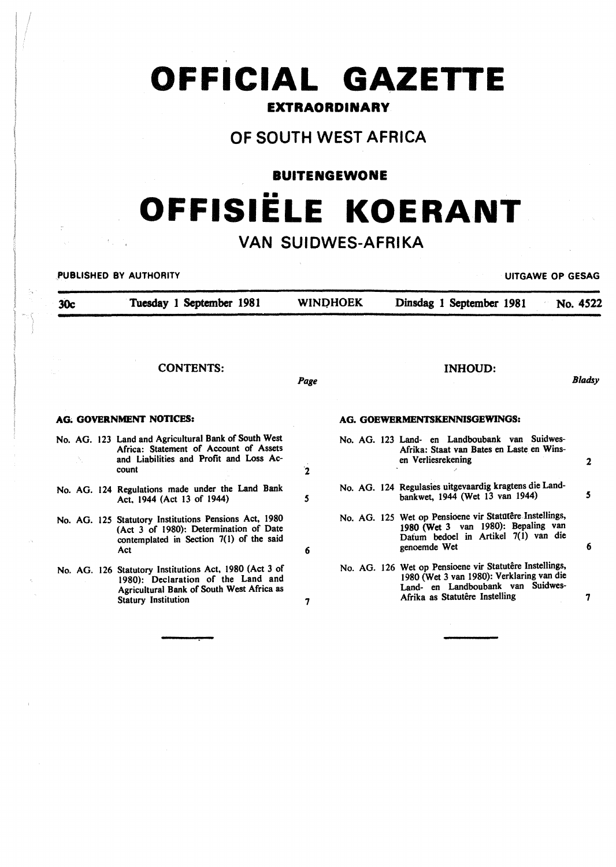# **OFFICIAL GAZETTE**

### **EXTRAORDINARY**

# OF SOUTH WEST AFRICA

### **BUITENGEWONE**

# •• **OFFISIELE KOERANT**

# VAN SUIDWES-AFRIKA

PUBLISHED BY AUTHORITY **UITGAWE OP GESAG** 

30c Tuesday 1 September 1981 CONTENTS: AO. GOVERNMENT NOTICES: No. AG. 123 Land and Agricultural Bank of South West Africa: Statement of Account of Assets and Liabilities and Profit and Loss Account No. AG. 124 Regulations made under the Land Bank Act. 1944 (Act 13 of 1944) No. AG. 125 Statutory Institutions Pensions Act, 1980 (Act 3 of 1980): Determination of Date contemplated in Section 7(1) of the said Act No. AG. 126 Statutory Institutions Act, 1980 (Act 3 of 1980): Declaration of the Land and Agricultural Bank of South West Africa as Statury Institution WINDHOEK Dinsdag 1 September 1981 No. 4522 Page 2 *s*  6 7 INHOUD: AG. GOEWERMENTSKENNISGEWINGS: No. AG. 123 Land- en Landboubank van Suidwes-Afrika: Staat van Bates en Laste en Winsen Verliesrekening No. AG. 124 Regulasies uitgevaardig kragtens die Landbankwet, 1944 (Wet 13 van 1944) No. AG. 125 Wet op Pensioene vir Statutere Instellings, 1980 (Wet 3 van 1980): Bepaling van Dafum bedoel in Artikel 7(1) van die genoemde Wet No. AG. 126 Wet op Pensioene vir Statutêre Instellings, 1980 (Wet 3 van 1980): Verklaring van die Land- en Landboubank van Suidwes-Afrika as Statutêre Instelling *Bladsy*  2 *s*  6 7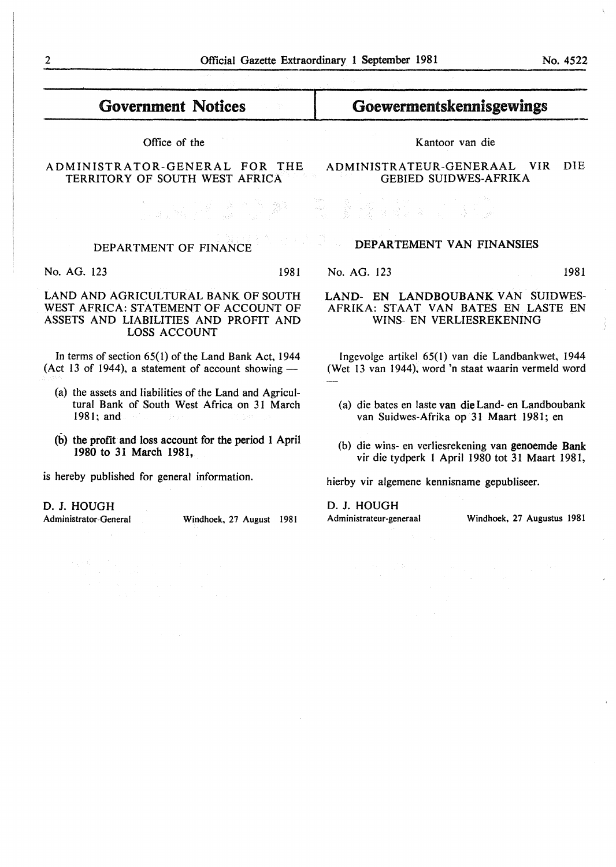# Government Notices

Office of the

#### ADMINISTRATOR-GENERAL FOR THE TERRITORY OF SOUTH WEST AFRICA

#### DEPARTEMENT VAN FINANSIES

No. AG. 123 1981

#### LAND- EN LANDBOUBANK VAN SUIDWES-AFRIKA: STAAT VAN BATES EN LASTE EN WINS- EN VERLIESREKENING

Ingevolge artikel 65(1) van die Landbankwet, 1944 (Wet 13 van 1944), word 'n staat waarin vermeld word

- (a) die bates en laste van die Land- en Landboubank van Suidwes-Afrika op 31 Maart 1981; en
- (b) die wins- en verliesrekening van genoemde Bank vir die tydperk l April 1980 tot 31 Maart 1981,

hierby vir algemene kennisname gepubliseer.

D. J. HOUGH

Administrateur-generaal Windhoek, 27 Augustus 1981

# DEPARTMENT OF FINANCE

No. AG. 123 1981

#### LAND AND AGRICULTURAL BANK OF SOUTH WEST AFRICA: STATEMENT OF ACCOUNT OF ASSETS AND LIABILITIES AND PROFIT AND LOSS ACCOUNT

In terms of section 65( 1) of the Land Bank Act, 1944 (Act 13 of 1944), a statement of account showing  $-$ 

- (a) the assets and liabilities of the Land and Agricultural Bank of South West Africa on 31 March 1981; and
- (b) the profit and loss account for the period 1 April 1980 to 31 March 1981,

is hereby published for general information.

D. J. HOUGH

Administrator-General Windhoek, 27 August 1981

Kantoor van die

Goewermentskennisgewings

ADMINISTRATEUR-GENERAAL VIR DIE GEBIED SUIDWES-AFRIKA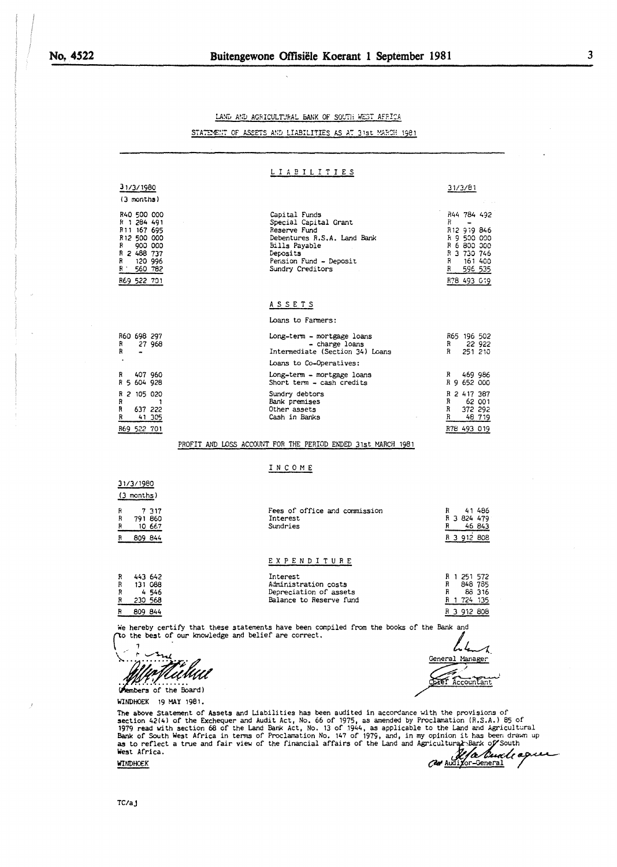LAND AND AGRICULTURAL BANK OF SOUTH WEST AFRICA

STATEMENT OF ASSETS AND LIABILITIES AS AT 31st MARCH 1981

 $\ddot{\phantom{a}}$ 

|                                                                                                                                                                                                                                                                                                                                                                                                                                                                                                                                                       | LIABILITIES                                                                                                                                                      |                                                                                                                              |
|-------------------------------------------------------------------------------------------------------------------------------------------------------------------------------------------------------------------------------------------------------------------------------------------------------------------------------------------------------------------------------------------------------------------------------------------------------------------------------------------------------------------------------------------------------|------------------------------------------------------------------------------------------------------------------------------------------------------------------|------------------------------------------------------------------------------------------------------------------------------|
| 31/3/1980<br>$(3$ months)                                                                                                                                                                                                                                                                                                                                                                                                                                                                                                                             |                                                                                                                                                                  | 31/3/81                                                                                                                      |
| R40 500 000<br>R 1 284 491<br>R <sub>11</sub> 167 695<br>R <sub>12</sub> 500 000<br>900 000<br>R<br>R 2 488 737<br>120 996<br>R<br>R.<br>560 782<br>R69 522 701                                                                                                                                                                                                                                                                                                                                                                                       | Capital Funds<br>Special Capital Grant<br>Reserve Fund<br>Debentures R.S.A. Land Bank<br>Bills Payable<br>Deposits<br>Pension Fund - Deposit<br>Sundry Creditors | R44 784 492<br>R.<br>R12 919 846<br>R 9 500 000<br>R 6 800 000<br>R 3 730 746<br>R<br>161 400<br>R<br>596 535<br>R78 493 019 |
|                                                                                                                                                                                                                                                                                                                                                                                                                                                                                                                                                       | <u>ASSETS</u>                                                                                                                                                    |                                                                                                                              |
|                                                                                                                                                                                                                                                                                                                                                                                                                                                                                                                                                       | Loans to Farmers:                                                                                                                                                |                                                                                                                              |
| R60 698 297<br>27 968<br>R<br>R<br>٠                                                                                                                                                                                                                                                                                                                                                                                                                                                                                                                  | Long-term - mortgage loans<br>- charge loans<br>Intermediate (Section 34) Loans                                                                                  | R65 196 502<br>R 22 922<br>R<br>251 210                                                                                      |
| 407 960<br>R                                                                                                                                                                                                                                                                                                                                                                                                                                                                                                                                          | Loans to Co-Operatives:<br>Long-term - mortgage loans                                                                                                            | R 469 986                                                                                                                    |
| R 5 604 928                                                                                                                                                                                                                                                                                                                                                                                                                                                                                                                                           | Short term - cash credits                                                                                                                                        | R 9 652 000                                                                                                                  |
| R 2 105 020<br>R<br>- 1<br>R<br>637 222<br>R<br>41 305<br>R69 522 701                                                                                                                                                                                                                                                                                                                                                                                                                                                                                 | Sundry debtors<br>Bank premises<br>Other assets<br>Cash in Banks                                                                                                 | R 2 417 387<br>R<br>62 001<br>R<br>372 292<br>R 48 719<br>R78 493 019                                                        |
|                                                                                                                                                                                                                                                                                                                                                                                                                                                                                                                                                       |                                                                                                                                                                  |                                                                                                                              |
| PROFIT AND LOSS ACCOUNT FOR THE PERIOD ENDED 31st MARCH 1981                                                                                                                                                                                                                                                                                                                                                                                                                                                                                          |                                                                                                                                                                  |                                                                                                                              |
|                                                                                                                                                                                                                                                                                                                                                                                                                                                                                                                                                       | INCOME                                                                                                                                                           |                                                                                                                              |
| 31/3/1980<br>$(3$ months)                                                                                                                                                                                                                                                                                                                                                                                                                                                                                                                             |                                                                                                                                                                  |                                                                                                                              |
| R<br>7317<br>R<br>791 860<br>R<br>10 667<br>R<br>809 844                                                                                                                                                                                                                                                                                                                                                                                                                                                                                              | Fees of office and commission<br>Interest<br>Sundries                                                                                                            | 41 486<br>R<br>R 3 824 479<br>46 843<br>R<br>R 3 912 808                                                                     |
|                                                                                                                                                                                                                                                                                                                                                                                                                                                                                                                                                       | EXPENDITURE                                                                                                                                                      |                                                                                                                              |
| 443 642<br>R<br>R<br>131 088<br>R<br>- 4546<br>R<br>230 568<br>R<br>809 844                                                                                                                                                                                                                                                                                                                                                                                                                                                                           | Interest<br>Administration costs<br>Depreciation of assets<br>Balance to Reserve fund                                                                            | R 1 251 572<br>$\mathbb{R}$<br>848 785<br>R<br>86 316<br>R 1 724 135<br>R 3 912 808                                          |
| We hereby certify that these statements have been compiled from the books of the Bank and<br>to the best of our knowledge and belief are correct.                                                                                                                                                                                                                                                                                                                                                                                                     |                                                                                                                                                                  |                                                                                                                              |
| embers of the Board)                                                                                                                                                                                                                                                                                                                                                                                                                                                                                                                                  |                                                                                                                                                                  | General Manager<br><b>DYET</b><br>Accountant                                                                                 |
| <b>WINDHOEK</b><br>19 MAY 1981.                                                                                                                                                                                                                                                                                                                                                                                                                                                                                                                       |                                                                                                                                                                  |                                                                                                                              |
| The above Statement of Assets and Liabilities has been audited in accordance with the provisions of<br>section 42(4) of the Exchequer and Audit Act, No. 66 of 1975, as amended by Proclamation (R.S.A.) 85 of<br>1979 read with section 68 of the Land Bank Act, No. 13 of 1944, as applicable to the Land and Agricultural<br>Bank of South West Africa in terms of Proclamation No. 147 of 1979, and, in my opinion it has been drawn up<br>as to reflect a true and fair view of the financial affairs of the Land and Agricultural Bark of South |                                                                                                                                                                  |                                                                                                                              |

West Africa. **Il a l'aux de la Cuvale agues** 

**3** 

 $\overline{\phantom{a}}$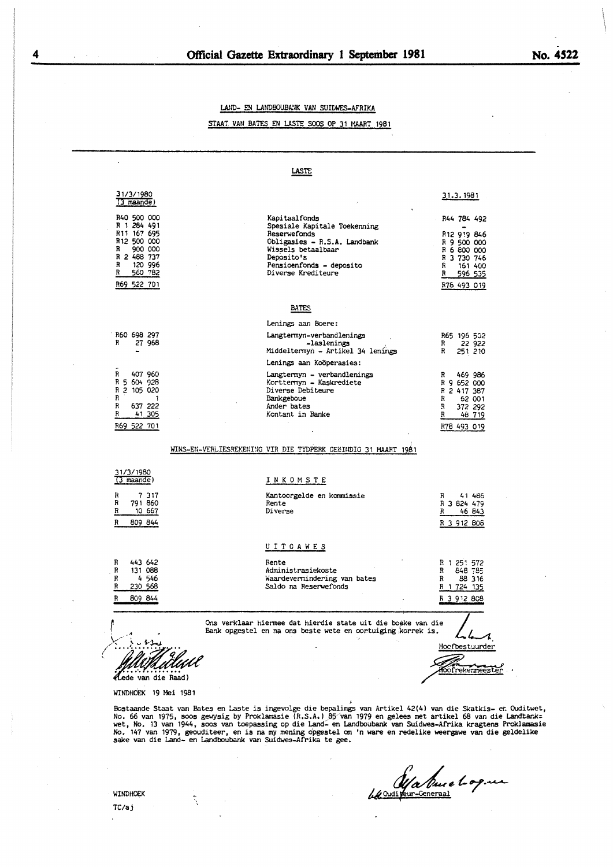#### LAND- EN LANDBOUBANK VAN SUIDWES-AFRIKA

#### STAAT. VAN BATES EN LASTE SOOS OP 31 MAART 1981



WINDHOEK 19 Mei 1981

Bostaande Staat van Bates en Laste is ingevolge die bepalings van Artikel 42(4) van die Skatkis- en Ouditwet,<br>No. 66 van 1975, soos gewysig by Proklamasie (R.S.A.) 85 van 1979 en gelees met artikel 68 van die Landtank=<br>wet

Ma Duce le 09. un

WINDHOEK

TC/aj

À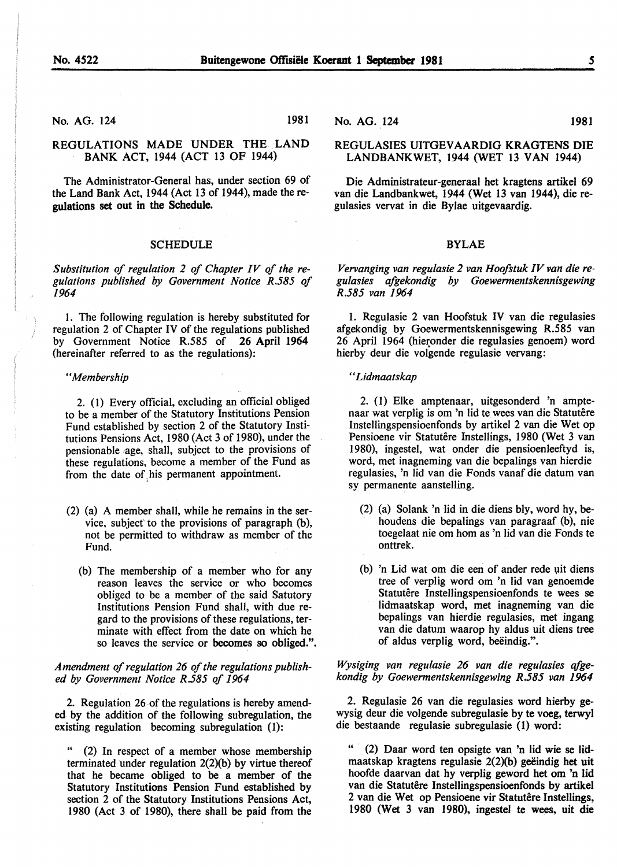No. AG. 124 1981

#### REGULATIONS MADE UNDER THE LAND BANK ACT, 1944 (ACT 13 OF 1944)

The Administrator-General has, under section 69 of the Land Bank Act, 1944 (Act 13 of 1944), made theregulations set out in the Schedule.

#### **SCHEDULE**

*Substitution of regulation 2 of Chapter IV of the regulations published by Government Notice R.585 of 1964* 

I. The following regulation is hereby substituted for regulation 2 of Chapter IV of the regulations published by Government Notice R.585 of 26 April 1964 (hereinafter referred to as the regulations):

#### *"Membership*

2. ( 1) Every official, excluding an official obliged to be a member of the Statutory Institutions Pension Fund established by section 2 of the Statutory Institutions Pensions Act, 1980 (Act 3 of 1980), under the pensionable age, shall, subject to the provisions of these regulations, become a member of the Fund as from the date of his permanent appointment.

- (2) (a) A member shall, while he remains in the service, subject to the provisions of paragraph  $(b)$ , not be permitted to withdraw as member of the Fund.
	- (b) The membership of a member who for any reason leaves the service or who becomes obliged to be a member of the said Satutory Institutions Pension Fund shall, with due regard to the provisions of these regulations, terminate with effect from the date on which he so leaves the service or becomes so obliged.".

*Amendment of regulation 26 of the regulations published by Government Notice R.585 of 1964* 

2. Regulation 26 of the regulations is hereby amended by the addition of the following subregulation, the existing regulation becoming subregulation (1):

 $(2)$  In respect of a member whose membership terminated under regulation  $2(2)(b)$  by virtue thereof that he became obliged to be a member of the Statutory Institutions Pension Fund established by section 2 of the Statutory Institutions Pensions Act, 1980 (Act 3 of 1980), there shall be paid from the No. AG. 124 1981

#### REGULASIES UITGEV AARDIG KRAGTENS DIE LANDBANKWET, 1944 (WET 13 VAN 1944)

Die Administrateur-generaal bet kragtens artikel 69 van die Landbankwet, 1944 (Wet 13 van 1944), die regulasies vervat in die Bylae uitgevaardig.

#### BYLAE

*Vervanging van regulasie 2 van Hoofstuk IV van die regulasies afgekondig by Goewermentskennisgewing R.585 van 1964* 

1. Regulasie 2 van Hoofstuk IV van die regulasies afgekondig by Goewermentskennisgewing R.585 van 26 April 1964 (hieronder die regulasies genoem) word hierby deur die volgende regulasie vervang:

'' *Lidmaatskap* 

2. (1) Elke amptenaar, uitgesonderd 'n amptenaar wat verplig is om 'n lid te wees van die Statutêre Instellingspensioenfonds by artikel 2 van die Wet op Pensioene vir Statutêre Instellings, 1980 (Wet 3 van 1980), ingestel, wat onder die pensioenleeftyd is, word, met inagneming van die bepalings van hierdie regulasies, 'n lid van die Fonds vanaf die datum van sy permanente aanstelling.

- (2) (a) Solank 'n lid in die diens bly, word hy, behoudens die bepalings van paragraaf (b), nie toegelaat nie om hom as 'n lid van die Fonds te onttrek.
- (b) 'n Lid wat om die een of ander rede uit diens tree of verplig word om 'n lid van genoemde Statutêre Instellingspensioenfonds te wees se lidmaatskap word, met inagneming van die bepalings van hierdie regulasies, met ingang van die datum waarop hy aldus uit diens tree of aldus verplig word, beëindig.".

*Wysiging van regulasie 26 van die regulasies afgekondig by Goewermentskennisgewing R.585 van 1964* 

2. Regulasie 26 van die regulasies word hierby gewysig deur die volgende subregulasie by te voeg, terwyl die bestaande regulasie subregulasie (1) word:

(2) Daar word ten opsigte van 'n lid wie se lidmaatskap kragtens regulasie  $2(2)(b)$  geëindig het uit hoofde daarvan dat hy verplig geword bet om 'n lid van die Statutêre Instellingspensioenfonds by artikel 2 van die Wet op Pensioene vir Statutêre Instellings, 1980 (Wet 3 van 1980), ingestel te wees, uit die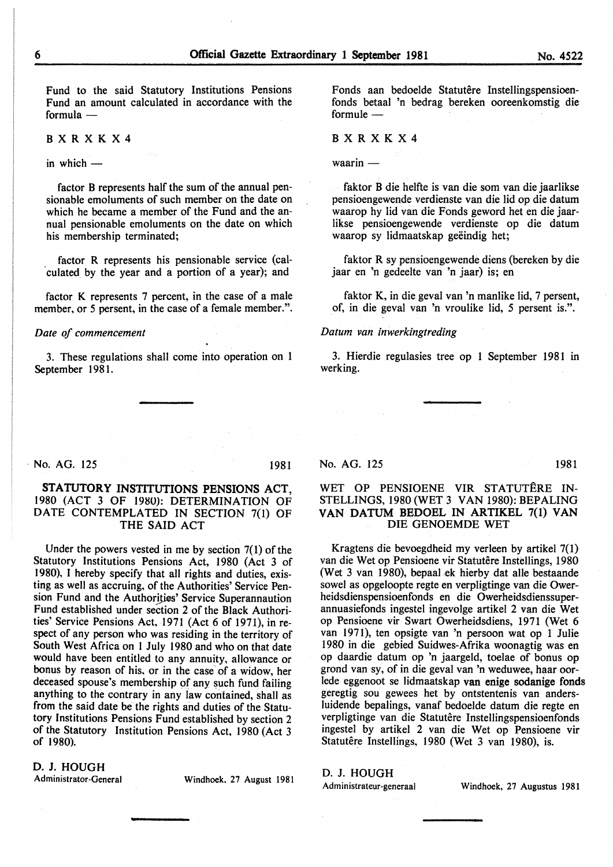Fund to the said Statutory Institutions Pensions Fund an amount calculated in accordance with the formula $-$ 

BXRXKX4

in which  $-$ 

factor B represents half the sum of the annual pensionable emoluments of such member on the date on which he became a member of the Fund and the annual pensionable emoluments on the date on which his membership terminated;

factor R represents his pensionable service (cal- 'culated by the year and a portion of a year); and

factor K represents 7 percent, in the case of a male member, or 5 persent, in the case of a female member.".

#### *Date of commencement*

3. These regulations shall come into operation on 1 September 1981.

Fonds aan bedoelde Statutêre Instellingspensioenfonds betaal 'n bedrag bereken ooreenkomstig die formule -

#### BXRXKX4

waarin —

faktor B die helfte is van die som van die jaarlikse pensioengewende verdienste van die lid op die datum waarop hy lid van die Fonds geword het en die jaarlikse pensioengewende verdienste op die datum waarop sy lidmaatskap geëindig het;

faktor R sy pensioengewende diens (bereken by die jaar en 'n gedeelte van 'n jaar) is; en

faktor K, in die geval van 'n manlike lid, 7 persent, of, in die geval van 'n vroulike lid, *5* persent is.".

#### *Datum van inwerkingtreding*

3. Hierdie regulasies tree op 1 September 1981 in werking.

1981 **No. AG.** 125 1981

D. J. HOUGH

#### STATUTORY INSTITUTIONS PENSIONS ACT, 1980 (ACT 3 OF 1980): DETERMINATION OF DATE CONTEMPLATED IN SECTION 7(1) OF THE SAID ACT

Under the powers vested in me by section 7(1) of the Statutory Institutions Pensions Act, 1980 (Act 3 of 1980), I hereby specify that all rights and duties, existing as well as accruing, of the Authorities' Service Pension Fund and the Authorities' Service Superannaution Fund established under section 2 of the Black Authorities' Service Pensions Act, 1971 (Act 6 of 1971), in respect of any person who was residing in the territory of South West Africa on I July 1980 and who on that date would have been entitled to any annuity, allowance or bonus by reason of his, or in the case of a widow, her deceased spouse's membership of any such fund failing anything to the contrary in any law contained, shall as from the said date be the rights and duties of the Statutory Institutions Pensions Fund established by section 2 of the Statutory Institution Pensions Act, 1980 (Act 3 of 1980).

Administrator-General Windhoek. 27 August 1981

No. AG. 125 1981

#### WET OP PENSIOENE VIR STATUTERE IN-STELLINGS, 1980 (WET 3 VAN 1980): BEPALING VAN DATUM BEDOEL IN ARTIKEL 7(1) VAN DIE GENOEMDE WET

Kragtens die bevoegdheid my verleen by artikel 7(1) van die Wet op Pensioene vir Statutêre Instellings, 1980 (Wet 3 van 1980), bepaaLek hierby dat aile bestaande sowel as opgeloopte regte en verpligtinge van die Owerheidsdienspensioenfonds en die Owerheidsdienssuperannuasiefonds ingestel ingevolge artikel 2 van die Wet op Pensioene vir Swart Owerheidsdiens, 1971 (Wet 6 van 1971), ten opsigte van 'n persoon wat op 1 Julie 1980 in die gebied Suidwes-Afrika woonagtig was en op daardie datum op 'n jaargeld, toelae of bonus op grond van sy, of in die geval van 'n weduwee, haar oorlede eggenoot se lidmaatskap van enige sodanige fonds geregtig sou gewees het by ontstentenis van andersluidende bepalings, vanaf bedoelde datum die regte en verpligtinge van die Statutêre Instellingspensioenfonds ingestel by artikel 2 van die Wet op Pensioene vir Statutêre Instellings, 1980 (Wet 3 van 1980), is.

# D. J. HOUGH

Administrateur-generaal Windhoek, 27 Augustus 1981